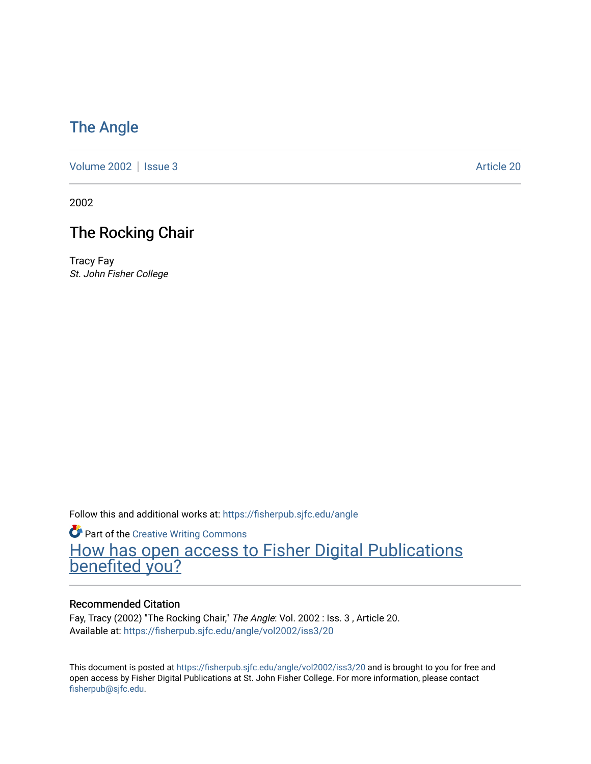### [The Angle](https://fisherpub.sjfc.edu/angle)

[Volume 2002](https://fisherpub.sjfc.edu/angle/vol2002) | [Issue 3](https://fisherpub.sjfc.edu/angle/vol2002/iss3) Article 20

2002

### The Rocking Chair

Tracy Fay St. John Fisher College

Follow this and additional works at: [https://fisherpub.sjfc.edu/angle](https://fisherpub.sjfc.edu/angle?utm_source=fisherpub.sjfc.edu%2Fangle%2Fvol2002%2Fiss3%2F20&utm_medium=PDF&utm_campaign=PDFCoverPages)

**Part of the Creative Writing Commons** [How has open access to Fisher Digital Publications](https://docs.google.com/forms/d/14zrnDfH9d1wcdq8oG_-gFabAsxfcH5claltx85ZWyTg/viewform?entry.1394608989=https://fisherpub.sjfc.edu/angle/vol2002/iss3/20%3Chttps://docs.google.com/forms/d/14zrnDfH9d1wcdq8oG_-gFabAsxfcH5claltx85ZWyTg/viewform?entry.1394608989=%7bhttps://fisherpub.sjfc.edu/angle/vol2002/iss3/20%7d) [benefited you?](https://docs.google.com/forms/d/14zrnDfH9d1wcdq8oG_-gFabAsxfcH5claltx85ZWyTg/viewform?entry.1394608989=https://fisherpub.sjfc.edu/angle/vol2002/iss3/20%3Chttps://docs.google.com/forms/d/14zrnDfH9d1wcdq8oG_-gFabAsxfcH5claltx85ZWyTg/viewform?entry.1394608989=%7bhttps://fisherpub.sjfc.edu/angle/vol2002/iss3/20%7d)

#### Recommended Citation

Fay, Tracy (2002) "The Rocking Chair," The Angle: Vol. 2002 : Iss. 3, Article 20. Available at: [https://fisherpub.sjfc.edu/angle/vol2002/iss3/20](https://fisherpub.sjfc.edu/angle/vol2002/iss3/20?utm_source=fisherpub.sjfc.edu%2Fangle%2Fvol2002%2Fiss3%2F20&utm_medium=PDF&utm_campaign=PDFCoverPages) 

This document is posted at <https://fisherpub.sjfc.edu/angle/vol2002/iss3/20> and is brought to you for free and open access by Fisher Digital Publications at St. John Fisher College. For more information, please contact [fisherpub@sjfc.edu](mailto:fisherpub@sjfc.edu).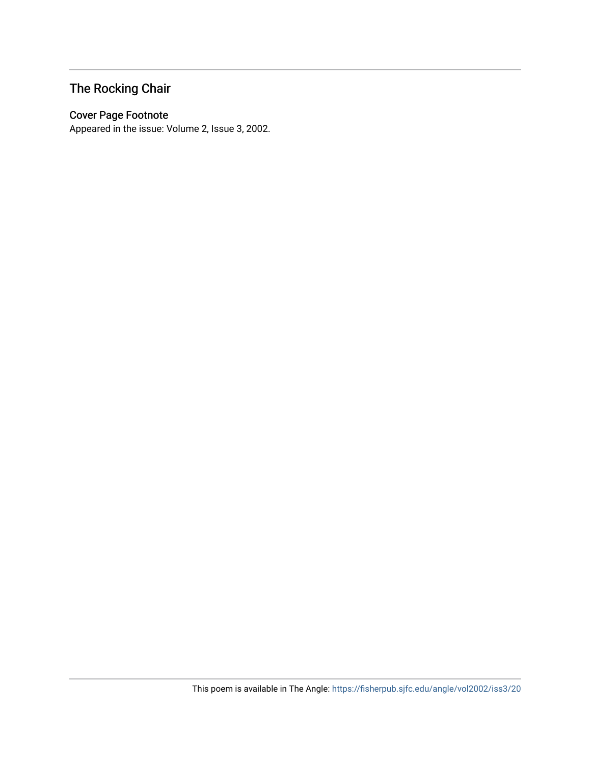## The Rocking Chair

#### Cover Page Footnote

Appeared in the issue: Volume 2, Issue 3, 2002.